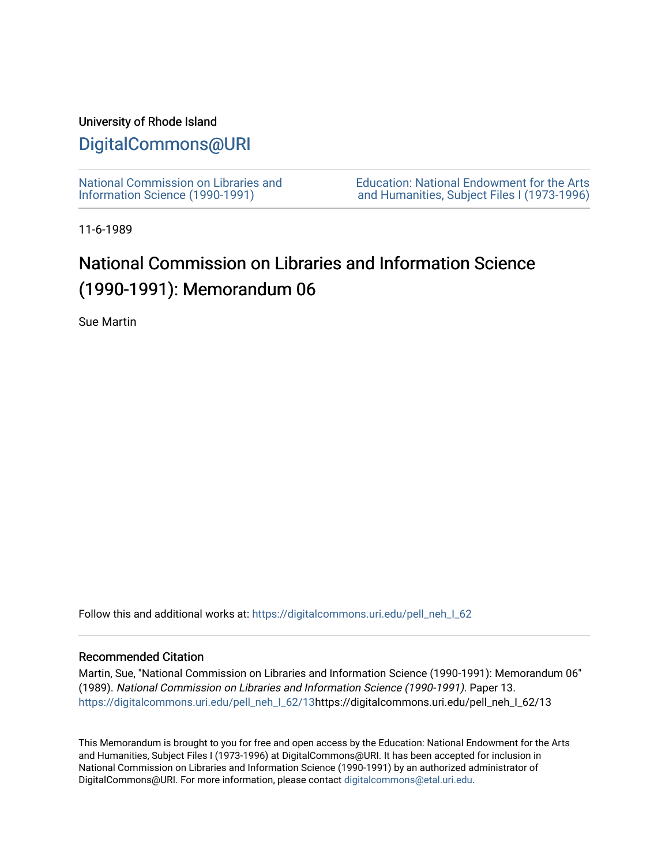### University of Rhode Island

## [DigitalCommons@URI](https://digitalcommons.uri.edu/)

[National Commission on Libraries and](https://digitalcommons.uri.edu/pell_neh_I_62) [Information Science \(1990-1991\)](https://digitalcommons.uri.edu/pell_neh_I_62) 

[Education: National Endowment for the Arts](https://digitalcommons.uri.edu/pell_neh_I)  [and Humanities, Subject Files I \(1973-1996\)](https://digitalcommons.uri.edu/pell_neh_I) 

11-6-1989

# National Commission on Libraries and Information Science (1990-1991): Memorandum 06

Sue Martin

Follow this and additional works at: https://digitalcommons.uri.edu/pell\_neh\_I\_62

#### Recommended Citation

Martin, Sue, "National Commission on Libraries and Information Science (1990-1991): Memorandum 06" (1989). National Commission on Libraries and Information Science (1990-1991). Paper 13. [https://digitalcommons.uri.edu/pell\\_neh\\_I\\_62/13h](https://digitalcommons.uri.edu/pell_neh_I_62/13?utm_source=digitalcommons.uri.edu%2Fpell_neh_I_62%2F13&utm_medium=PDF&utm_campaign=PDFCoverPages)ttps://digitalcommons.uri.edu/pell\_neh\_I\_62/13

This Memorandum is brought to you for free and open access by the Education: National Endowment for the Arts and Humanities, Subject Files I (1973-1996) at DigitalCommons@URI. It has been accepted for inclusion in National Commission on Libraries and Information Science (1990-1991) by an authorized administrator of DigitalCommons@URI. For more information, please contact [digitalcommons@etal.uri.edu.](mailto:digitalcommons@etal.uri.edu)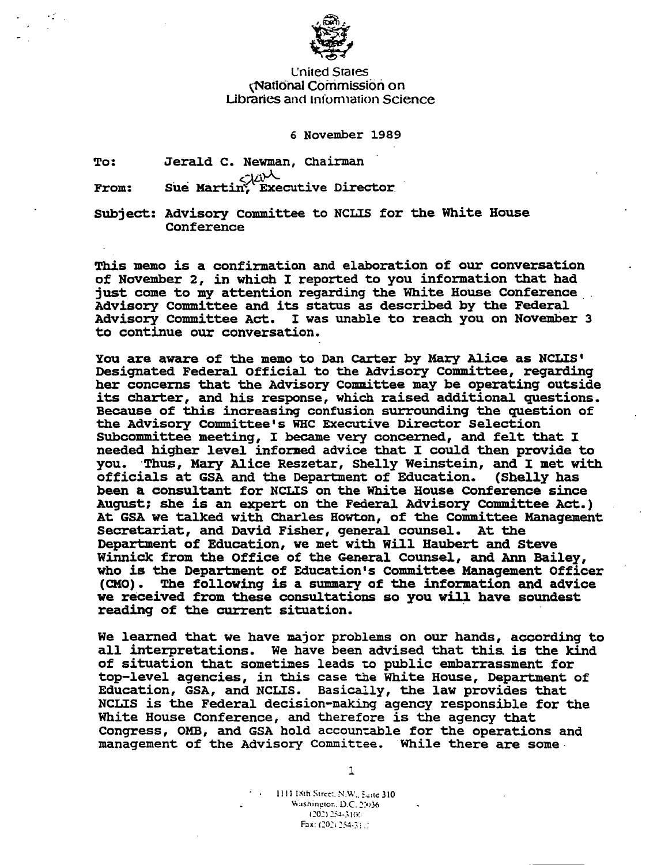

#### L'nited Srares \National Commission on Libraries and Information Science

#### 6 November 1989

To: Jerald c. Newman, Chairman Sue Martin, Executive Director.

 $\mathcal{L}_{\mathcal{A}}$  .

From:

Subject: Advisory Committee to NCLIS for the White House Conference

This memo is a confirmation and elaboration 0£ our conversation of November 2, in which I reported to you information that had<br>just come to my attention regarding the White House Conference Advisory Committee and its status as described by the Federal Advisory Committee Act. I was unable to reach you on November 3 to continue our conversation.

You are aware of the memo to Dan Carter by Mary Alice as NCLIS' Designated Federal Official to the Advisory Committee, regarding her concerns that the Advisory Committee may be operating outside its charter, and his response, which raised additional questions. Because of this increasinq confusion surroundinq the question of the Advisory Committee's WHC Executive Director Selection Subcommittee meetinq, I became very concerned, and felt that I needed hiqher level inforned advice that I could then provide to you. ·Thus, Mary llice Reszetar, Shelly Weinstein, and I met with officials at GSA and the Department of Education. (Shelly has been a consultant for NCLIS on the White House Conference since Auqust: she is an expert on the Federal Advisory Committee Act.) At GSA we talked with Charles Howton, of the Committee Manaqement Secretariat, and David Fisher, qeneral counsel. At the Department of Education, ve met with Will Haubert and Steve Winnick from the Office of the General Counsel, and Ann Bailey, who is the Department of Education's Committee Management Officer<br>(CMO). The following is a summary of the information and advice The following is a summary of the information and advice we received from these consultations so you will have soundest reading of the current situation.

We learned that we have major problems on our hands, accordinq to all interpretations. We have been advised that this. is the kind of situation that sometimes leads to public embarrassment for top-level aqencies, in this case the White House, Department of Education, GSA, and NCLIS. Basically, the law provides that NCLIS is the Federal decision-making aqency responsible for the White House Conference, and therefore is the aqency that Congress, OMB, and GSA hold accountable for the operations and manaqement of the Advisory Committee. While there are some

1

 $1111$  ISth Street, N.W., Seite 310 \;.:1shin!!tOr .. D.C. 2:•J36 (202) 254-3100 Fax: (202) 254-3) [1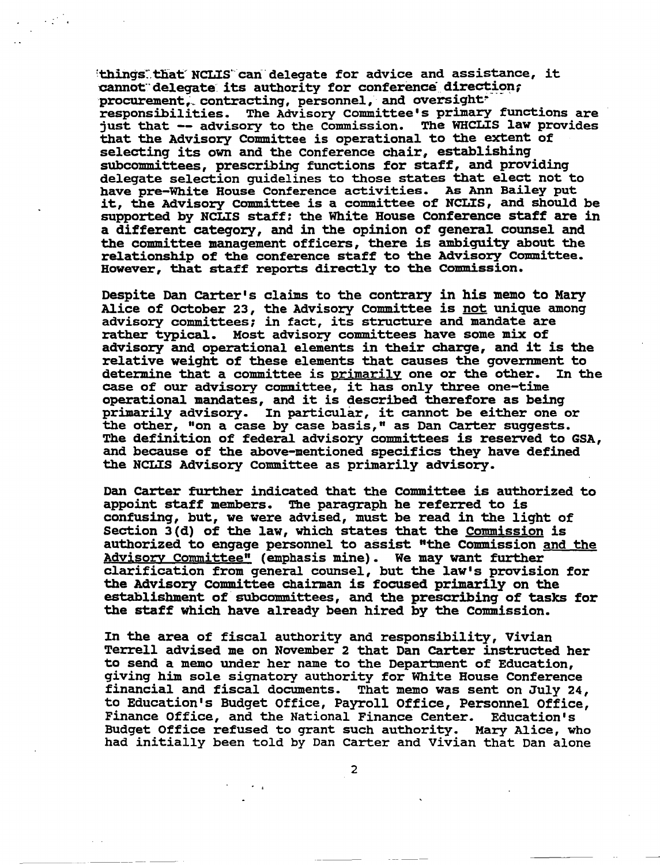'things" that NCLIS can delegate for advice and assistance, it cannot delegate its authority for conference direction;<br>procurement, contracting, personnel, and oversight responsibilities. The Advisory Committee's primary functions are just that -- advisory to the Commission. The WHCLIS law provides that the Advisory Committee is operational to the extent of selecting its own and the Conference chair, establishing subcommittees, prescribing functions for staff, and providing delegate selection guidelines to those states that elect not to<br>have pre-White House Conference activities. As Ann Bailey put it, the Advisory Committee is a committee of NCLIS, and should be supported by NCLIS staff: the White House Conference staff are in a different cateqory, and in the opinion of qeneral counsel and the committee manaqement officers, there is ambiguity about the relationship of the conference staff to the Advisory Committee. However, that staff reports directly to the Commission.

 $\mathcal{L}^{(1)}_{\mathcal{A}}$  .

Despite Dan carter's claims to the contrary in his memo to Mary Alice of October 23, the Advisory Committee is not unique among advisory committees; in fact, its structure and mandate are rather typical. Most advisory committees have some mix of advisory and operational elements in their charqe, and it is the relative weight of these elements that causes the government to determine that a committee is primarily one or the other. In the determine that a committee is primarily one or the other. case of our advisory comnittee, it has only three one-time operational mandates, and it is described therefore as beinq primarily advisory. In particular, it cannot be either one or the other, "on a case by case basis," as Dan carter sugqests. The definition of federal advisory committees is reserved to GSA, and because of the above-mentioned specifics they have defined the NCLIS Advisory Committee as primarily advisory.

Dan carter further indicated that the committee is authorized to appoint staff members. The paraqraph he referred to is confusinq, but, we were advised, must be read in the liqht of Section J(d) of the law, which states that the Commission is authorized to enqaqe personnel to assist "the Commission and the Advisory Committee" (emphasis mine). We may want further clarification from qeneral counsel, but the law's provision for the Advisory Committee chairman is focused primarily on the establishment of subcommittees, and the prescribing of tasks for the staff which have already been hired by the Commission.

In the area of fiscal authority and responsibility, Vivian Terrell advised me on November 2 that Dan carter instructed her to send a memo under her name to the Department of Education, giving him sole siqnatory authority for White House Conference financial and fiscal documents. That memo was sent on July 24, to Education's Budget Office, Payroll Office, Personnel Office, Finance Office, and the National Finance Center. Education's Budget Office refused to grant such authority. Mary Alice, who had initially been told by Dan Carter and Vivian that Dan alone

2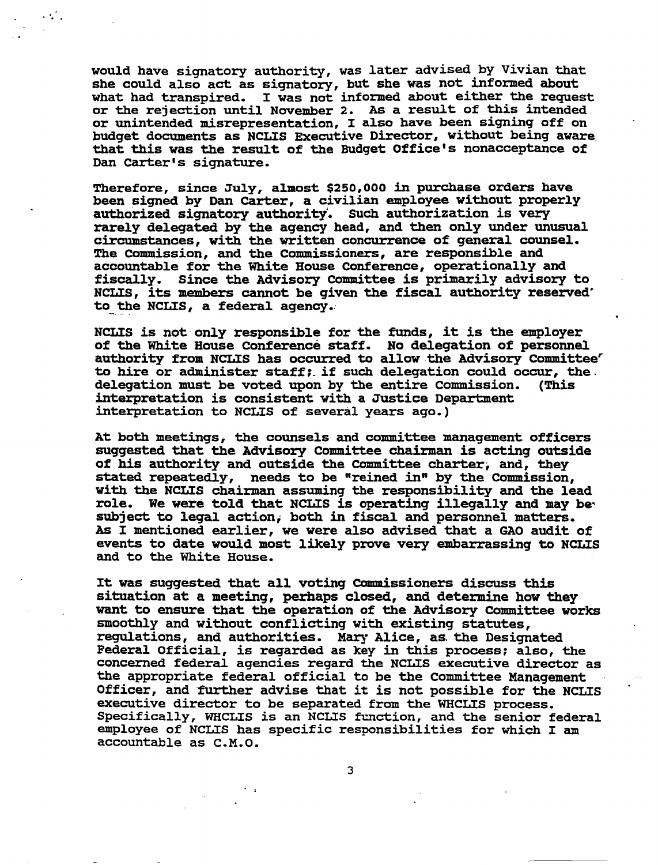would have signatory authority, was later advised by Vivian that she could also act as signatory, but she was not informed about what had transpired. I was not informed about either the request or the rejection until November 2. As a result of this intended or unintended misrepresentation, I also have been signing off on budget documents as NCLIS Executive Director, without being aware that this was the result of the Budget Office's nonacceptance of Dan carter's signature.

 $\ddotsc$  ,

Therefore, since July, almost \$250,000 in purchase orders have been signed by Dan carter, a civilian employee without properly authorized signatory authority. Such authorization is very rarely delegated by the agency head, and then only under unusual circumstances, with the written concurrence of general counsel. The Commission, and the Commissioners, are responsible and accountable for the White House Conference, operationally and fiscally. Since the Advisory Committee is primarily advisory to NCI.IS, its members cannot be given the fiscal authority reserved' to the NCLIS, a federal agency.

NCLIS is not only responsible for the funds, it is the employer of the White House Conference staff. No delegation of personnel authority from NCLIS has occurred to allow the Advisory Committee' to hire or administer staff:. if such delegation could occur, the. delegation must be voted upon by the entire Commission. interpretation is consistent with a Justice Department interpretation to NCLIS of several years ago.)

At both meetings, the counsels and committee management officers suggested that the Advisory Committee chairman is acting outside of his authority and outside the COmmittee charter; and, they stated repeatedly, needs to be "reined in" by the Commission, with the NCLIS chairman assuming the responsibility and the lead role. We were told that NCLIS is operating illegally and may be subject to leqal action; both in fiscal and personnel matters. As I mentioned earlier, we were also advised that a GAO audit of events to date would most likely prove very embarrassing to NCLIS and to the White House.

It was suggested that all voting Commissioners discuss this situation at a meeting, perhaps closed, and determine how they want to ensure that the operation of the Advisory Committee works smoothly and without conflicting with existing statutes, regulations, and authorities. Mary Alice, as. the Designated Federal Official, is regarded as key in this process; also, the concerned federal agencies regard the NCLIS executive director as the appropriate federal official to be the committee Management Officer, and further advise that it is not possible for the NCLIS executive director to be separated from the WHCLIS process. Specifically, WHCLIS is an NCLIS function, and the senior federal employee of NCLIS has specific responsibilities for which I am accountable as c.M.O.

3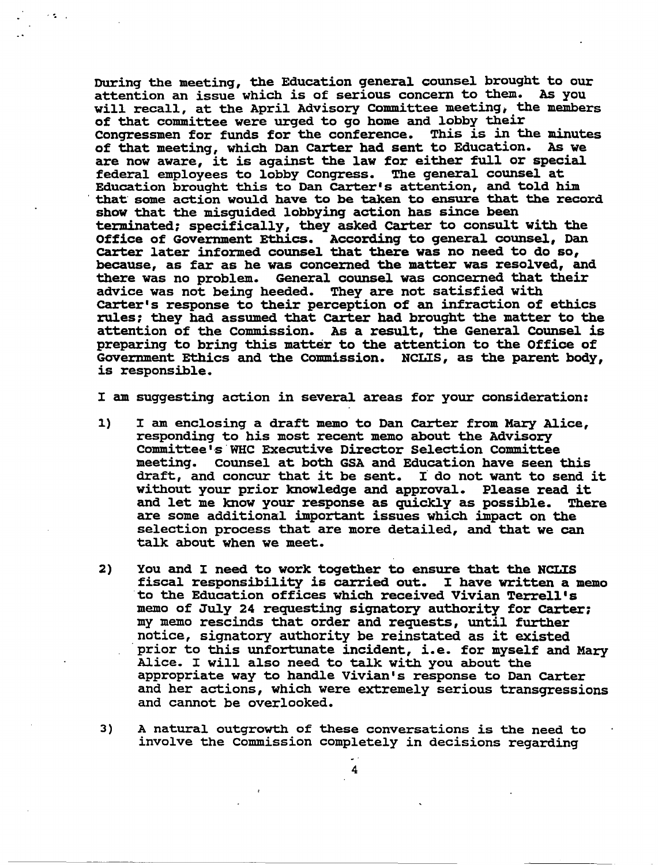Durinq the meetinq, the Education qeneral counsel brouqht to our attention an issue which is of serious concern to them. As you will recall, at the April Advisory Committee meeting, the members of that committee were urqed to *qo* home and lobby their Conqressmen for funds for the conference. This is in the minutes of that meeting, which Dan carter had sent to Education. As we are now aware, it is against the law for either £ull or special federal employees to lobby Conqress. The qeneral counsel at Education brought this to Dan carter's attention, and told him that some action would have to be taken to ensure that the record show that the misguided lobbying action has since been terminated: specifically, they asked carter to consult with the Office of Government Ethics. According to general counsel, Dan carter later informed counsel that there was no need to do so, because, as far as he was concerned the matter was resolved, and there was no problem. General counsel was concerned that their<br>advice was not being heeded. They are not satisfied with advice was not being heeded. carter's response to their perception of an infraction of ethics rules: they had assumed that carter had brought the matter to the attention of the commission. As a result, the General Counsel is preparing to bring this matter to the attention to the Office of Government Ethics and the Commission. NCLIS, as the parent body, is responsible.

 $\cdot$  .

I am suggesting action in several areas for your consideration:

- 1) I am enclosinq a draft memo to Dan carter from Mary Alice, responding to his most recent memo about the Advisory Committee• ·s · WHC Executive Director Selection committee meeting. Counsel at both GSA and Education have seen this draft, and concur that it be sent. I do not want to send it without your prior knowledge and approval. Please read it<br>and let me know your response as quickly as possible. There and let me know your response as quickly as possible. are some additional important issues which impact on the selection process that are more detailed, and that we can talk about when we meet.
- 2) You and I need to work together to ensure that the NCLIS fiscal responsibility is carried out. I have written a memo to the Education offices which received Vivian Terrell's memo of July 24 requesting signatory authority for carter: my memo rescinds that order and requests, until further notice, signatory authority be reinstated as it existed prior to this unfortunate incident, i.e. for myself and Mary Alice. I will also need to talk with you about the appropriate way to handle Vivian's response to Dan carter and her actions, which were extremely serious transgressions and cannot be overlooked.
- 3) A natural outgrowth of these conversations is the need to involve the Commission completely in decisions regarding